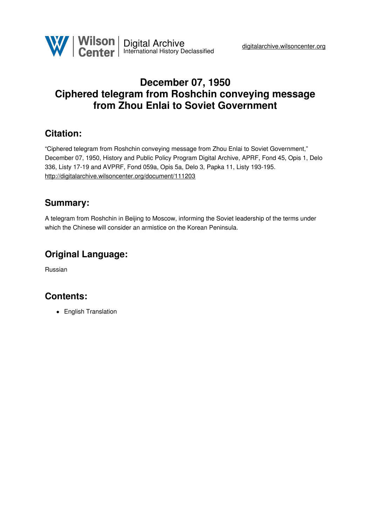

# **December 07, 1950 Ciphered telegram from Roshchin conveying message from Zhou Enlai to Soviet Government**

### **Citation:**

"Ciphered telegram from Roshchin conveying message from Zhou Enlai to Soviet Government," December 07, 1950, History and Public Policy Program Digital Archive, APRF, Fond 45, Opis 1, Delo 336, Listy 17-19 and AVPRF, Fond 059a, Opis 5a, Delo 3, Papka 11, Listy 193-195. <http://digitalarchive.wilsoncenter.org/document/111203>

### **Summary:**

A telegram from Roshchin in Beijing to Moscow, informing the Soviet leadership of the terms under which the Chinese will consider an armistice on the Korean Peninsula.

# **Original Language:**

Russian

# **Contents:**

**•** English Translation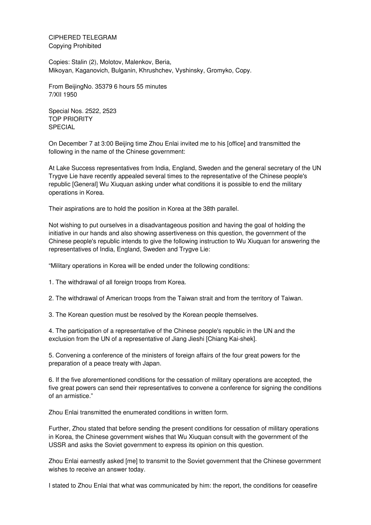CIPHERED TELEGRAM Copying Prohibited

Copies: Stalin (2), Molotov, Malenkov, Beria, Mikoyan, Kaganovich, Bulganin, Khrushchev, Vyshinsky, Gromyko, Copy.

From BeijingNo. 35379 6 hours 55 minutes 7/XII 1950

Special Nos. 2522, 2523 TOP PRIORITY SPECIAL

On December 7 at 3:00 Beijing time Zhou Enlai invited me to his [office] and transmitted the following in the name of the Chinese government:

At Lake Success representatives from India, England, Sweden and the general secretary of the UN Trygve Lie have recently appealed several times to the representative of the Chinese people's republic [General] Wu Xiuquan asking under what conditions it is possible to end the military operations in Korea.

Their aspirations are to hold the position in Korea at the 38th parallel.

Not wishing to put ourselves in a disadvantageous position and having the goal of holding the initiative in our hands and also showing assertiveness on this question, the government of the Chinese people's republic intends to give the following instruction to Wu Xiuquan for answering the representatives of India, England, Sweden and Trygve Lie:

"Military operations in Korea will be ended under the following conditions:

1. The withdrawal of all foreign troops from Korea.

2. The withdrawal of American troops from the Taiwan strait and from the territory of Taiwan.

3. The Korean question must be resolved by the Korean people themselves.

4. The participation of a representative of the Chinese people's republic in the UN and the exclusion from the UN of a representative of Jiang Jieshi [Chiang Kai-shek].

5. Convening a conference of the ministers of foreign affairs of the four great powers for the preparation of a peace treaty with Japan.

6. If the five aforementioned conditions for the cessation of military operations are accepted, the five great powers can send their representatives to convene a conference for signing the conditions of an armistice."

Zhou Enlai transmitted the enumerated conditions in written form.

Further, Zhou stated that before sending the present conditions for cessation of military operations in Korea, the Chinese government wishes that Wu Xiuquan consult with the government of the USSR and asks the Soviet government to express its opinion on this question.

Zhou Enlai earnestly asked [me] to transmit to the Soviet government that the Chinese government wishes to receive an answer today.

I stated to Zhou Enlai that what was communicated by him: the report, the conditions for ceasefire